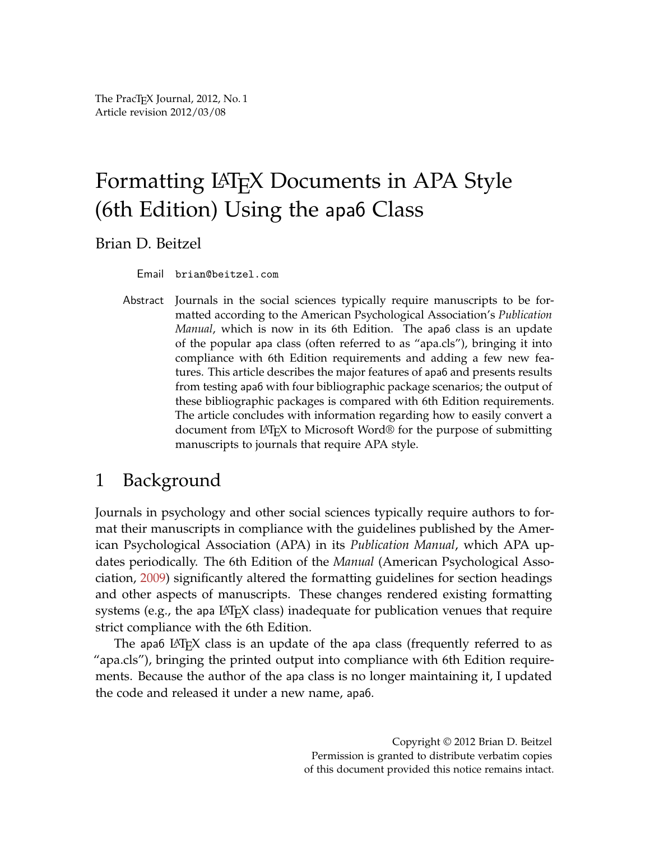The PracT<sub>E</sub>X Journal, 2012, No. 1 Article revision 2012/03/08

# Formatting LAT<sub>E</sub>X Documents in APA Style (6th Edition) Using the apa6 Class

Brian D. Beitzel

Email brian@beitzel.com

Abstract Journals in the social sciences typically require manuscripts to be formatted according to the American Psychological Association's *Publication Manual*, which is now in its 6th Edition. The apa6 class is an update of the popular apa class (often referred to as "apa.cls"), bringing it into compliance with 6th Edition requirements and adding a few new features. This article describes the major features of apa6 and presents results from testing apa6 with four bibliographic package scenarios; the output of these bibliographic packages is compared with 6th Edition requirements. The article concludes with information regarding how to easily convert a document from LATEX to Microsoft Word® for the purpose of submitting manuscripts to journals that require APA style.

# 1 Background

Journals in psychology and other social sciences typically require authors to format their manuscripts in compliance with the guidelines published by the American Psychological Association (APA) in its *Publication Manual*, which APA updates periodically. The 6th Edition of the *Manual* (American Psychological Association, [2009\)](#page-11-0) significantly altered the formatting guidelines for section headings and other aspects of manuscripts. These changes rendered existing formatting systems (e.g., the apa  $\langle \text{ATRX} \rangle$  class) inadequate for publication venues that require strict compliance with the 6th Edition.

The apa6 LAT<sub>E</sub>X class is an update of the apa class (frequently referred to as "apa.cls"), bringing the printed output into compliance with 6th Edition requirements. Because the author of the apa class is no longer maintaining it, I updated the code and released it under a new name, apa6.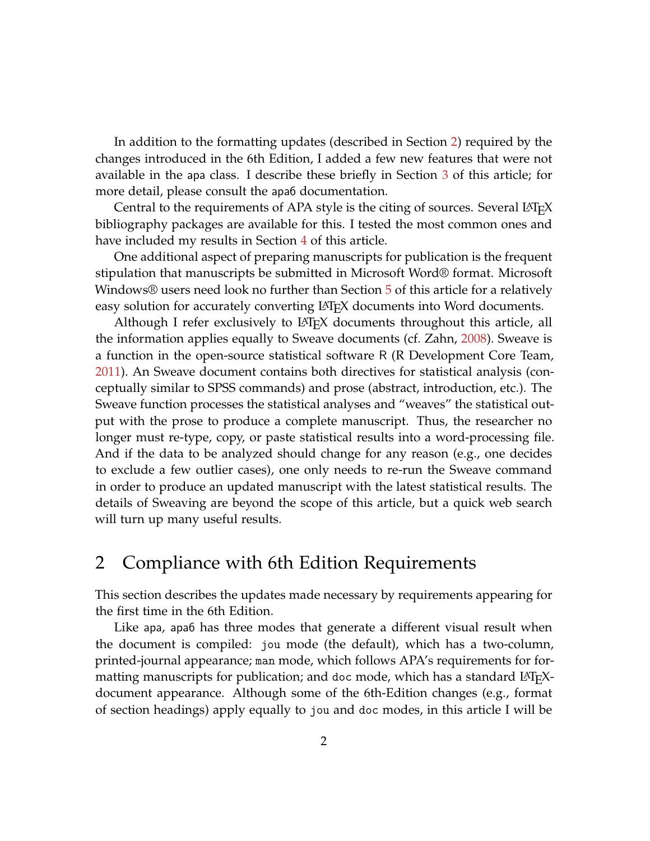In addition to the formatting updates (described in Section [2\)](#page-1-0) required by the changes introduced in the 6th Edition, I added a few new features that were not available in the apa class. I describe these briefly in Section [3](#page-3-0) of this article; for more detail, please consult the apa6 documentation.

Central to the requirements of APA style is the citing of sources. Several LAT<sub>E</sub>X bibliography packages are available for this. I tested the most common ones and have included my results in Section [4](#page-4-0) of this article.

One additional aspect of preparing manuscripts for publication is the frequent stipulation that manuscripts be submitted in Microsoft Word® format. Microsoft Windows® users need look no further than Section [5](#page-10-0) of this article for a relatively easy solution for accurately converting LAT<sub>E</sub>X documents into Word documents.

Although I refer exclusively to LAT<sub>E</sub>X documents throughout this article, all the information applies equally to Sweave documents (cf. Zahn, [2008\)](#page-11-1). Sweave is a function in the open-source statistical software R (R Development Core Team, [2011\)](#page-11-2). An Sweave document contains both directives for statistical analysis (conceptually similar to SPSS commands) and prose (abstract, introduction, etc.). The Sweave function processes the statistical analyses and "weaves" the statistical output with the prose to produce a complete manuscript. Thus, the researcher no longer must re-type, copy, or paste statistical results into a word-processing file. And if the data to be analyzed should change for any reason (e.g., one decides to exclude a few outlier cases), one only needs to re-run the Sweave command in order to produce an updated manuscript with the latest statistical results. The details of Sweaving are beyond the scope of this article, but a quick web search will turn up many useful results.

# <span id="page-1-0"></span>2 Compliance with 6th Edition Requirements

This section describes the updates made necessary by requirements appearing for the first time in the 6th Edition.

Like apa, apa6 has three modes that generate a different visual result when the document is compiled: jou mode (the default), which has a two-column, printed-journal appearance; man mode, which follows APA's requirements for formatting manuscripts for publication; and doc mode, which has a standard LAT<sub>E</sub>Xdocument appearance. Although some of the 6th-Edition changes (e.g., format of section headings) apply equally to jou and doc modes, in this article I will be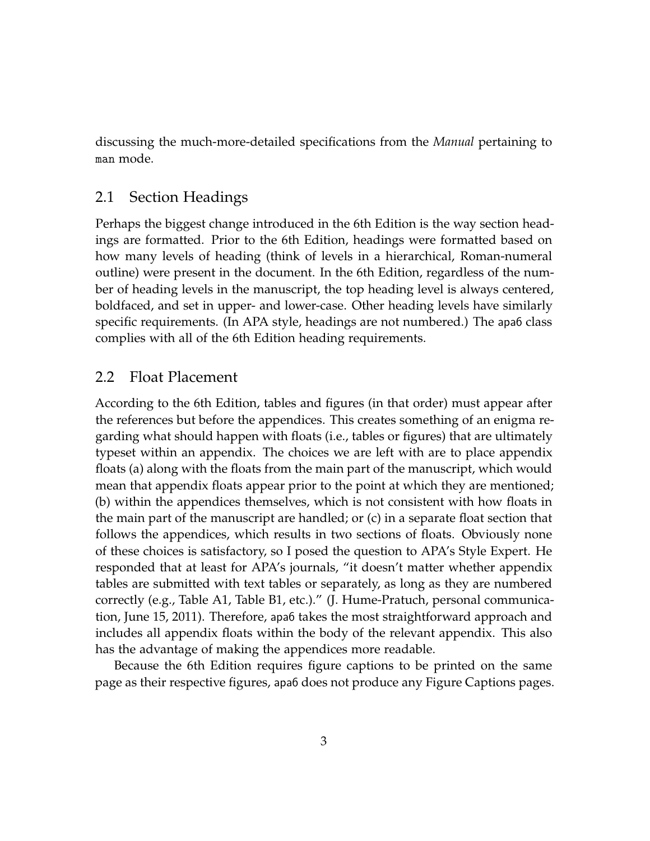discussing the much-more-detailed specifications from the *Manual* pertaining to man mode.

## 2.1 Section Headings

Perhaps the biggest change introduced in the 6th Edition is the way section headings are formatted. Prior to the 6th Edition, headings were formatted based on how many levels of heading (think of levels in a hierarchical, Roman-numeral outline) were present in the document. In the 6th Edition, regardless of the number of heading levels in the manuscript, the top heading level is always centered, boldfaced, and set in upper- and lower-case. Other heading levels have similarly specific requirements. (In APA style, headings are not numbered.) The apa6 class complies with all of the 6th Edition heading requirements.

### 2.2 Float Placement

According to the 6th Edition, tables and figures (in that order) must appear after the references but before the appendices. This creates something of an enigma regarding what should happen with floats (i.e., tables or figures) that are ultimately typeset within an appendix. The choices we are left with are to place appendix floats (a) along with the floats from the main part of the manuscript, which would mean that appendix floats appear prior to the point at which they are mentioned; (b) within the appendices themselves, which is not consistent with how floats in the main part of the manuscript are handled; or (c) in a separate float section that follows the appendices, which results in two sections of floats. Obviously none of these choices is satisfactory, so I posed the question to APA's Style Expert. He responded that at least for APA's journals, "it doesn't matter whether appendix tables are submitted with text tables or separately, as long as they are numbered correctly (e.g., Table A1, Table B1, etc.)." (J. Hume-Pratuch, personal communication, June 15, 2011). Therefore, apa6 takes the most straightforward approach and includes all appendix floats within the body of the relevant appendix. This also has the advantage of making the appendices more readable.

Because the 6th Edition requires figure captions to be printed on the same page as their respective figures, apa6 does not produce any Figure Captions pages.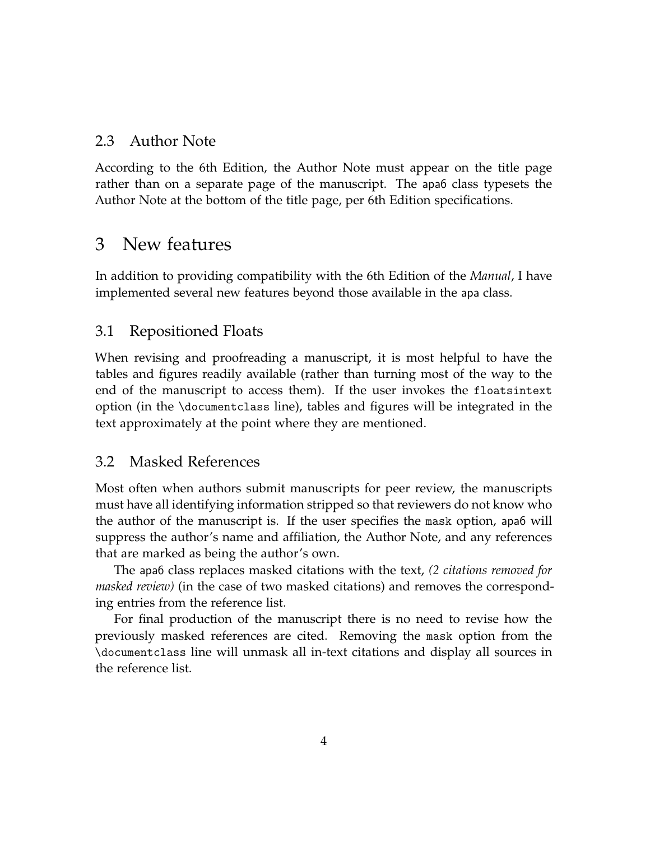## 2.3 Author Note

According to the 6th Edition, the Author Note must appear on the title page rather than on a separate page of the manuscript. The apa6 class typesets the Author Note at the bottom of the title page, per 6th Edition specifications.

# <span id="page-3-0"></span>3 New features

In addition to providing compatibility with the 6th Edition of the *Manual*, I have implemented several new features beyond those available in the apa class.

# 3.1 Repositioned Floats

When revising and proofreading a manuscript, it is most helpful to have the tables and figures readily available (rather than turning most of the way to the end of the manuscript to access them). If the user invokes the floatsintext option (in the \documentclass line), tables and figures will be integrated in the text approximately at the point where they are mentioned.

# 3.2 Masked References

Most often when authors submit manuscripts for peer review, the manuscripts must have all identifying information stripped so that reviewers do not know who the author of the manuscript is. If the user specifies the mask option, apa6 will suppress the author's name and affiliation, the Author Note, and any references that are marked as being the author's own.

The apa6 class replaces masked citations with the text, *(2 citations removed for masked review)* (in the case of two masked citations) and removes the corresponding entries from the reference list.

For final production of the manuscript there is no need to revise how the previously masked references are cited. Removing the mask option from the \documentclass line will unmask all in-text citations and display all sources in the reference list.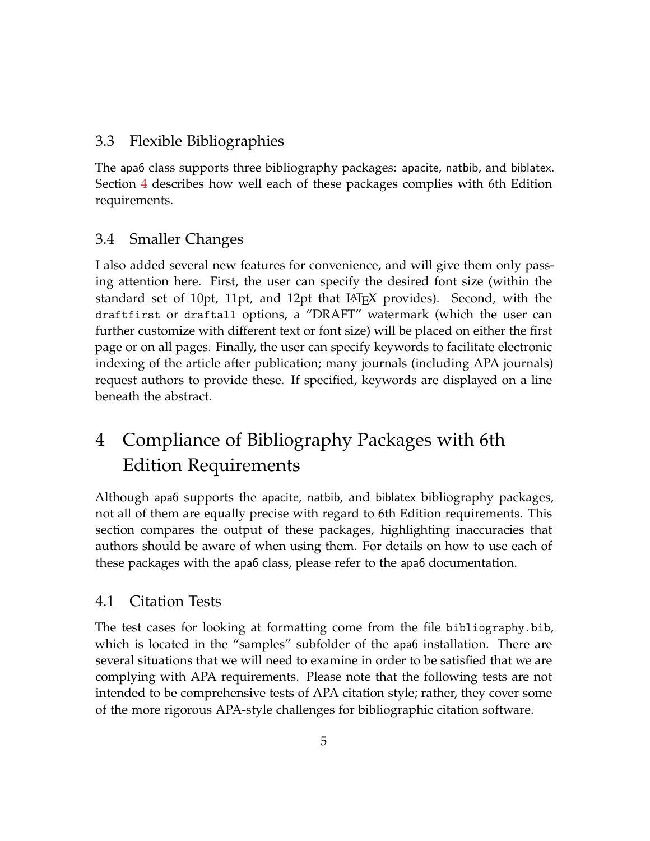# 3.3 Flexible Bibliographies

The apa6 class supports three bibliography packages: apacite, natbib, and biblatex. Section [4](#page-4-0) describes how well each of these packages complies with 6th Edition requirements.

# 3.4 Smaller Changes

I also added several new features for convenience, and will give them only passing attention here. First, the user can specify the desired font size (within the standard set of 10pt, 11pt, and 12pt that LAT<sub>E</sub>X provides). Second, with the draftfirst or draftall options, a "DRAFT" watermark (which the user can further customize with different text or font size) will be placed on either the first page or on all pages. Finally, the user can specify keywords to facilitate electronic indexing of the article after publication; many journals (including APA journals) request authors to provide these. If specified, keywords are displayed on a line beneath the abstract.

# <span id="page-4-0"></span>4 Compliance of Bibliography Packages with 6th Edition Requirements

Although apa6 supports the apacite, natbib, and biblatex bibliography packages, not all of them are equally precise with regard to 6th Edition requirements. This section compares the output of these packages, highlighting inaccuracies that authors should be aware of when using them. For details on how to use each of these packages with the apa6 class, please refer to the apa6 documentation.

# 4.1 Citation Tests

The test cases for looking at formatting come from the file bibliography.bib, which is located in the "samples" subfolder of the apa6 installation. There are several situations that we will need to examine in order to be satisfied that we are complying with APA requirements. Please note that the following tests are not intended to be comprehensive tests of APA citation style; rather, they cover some of the more rigorous APA-style challenges for bibliographic citation software.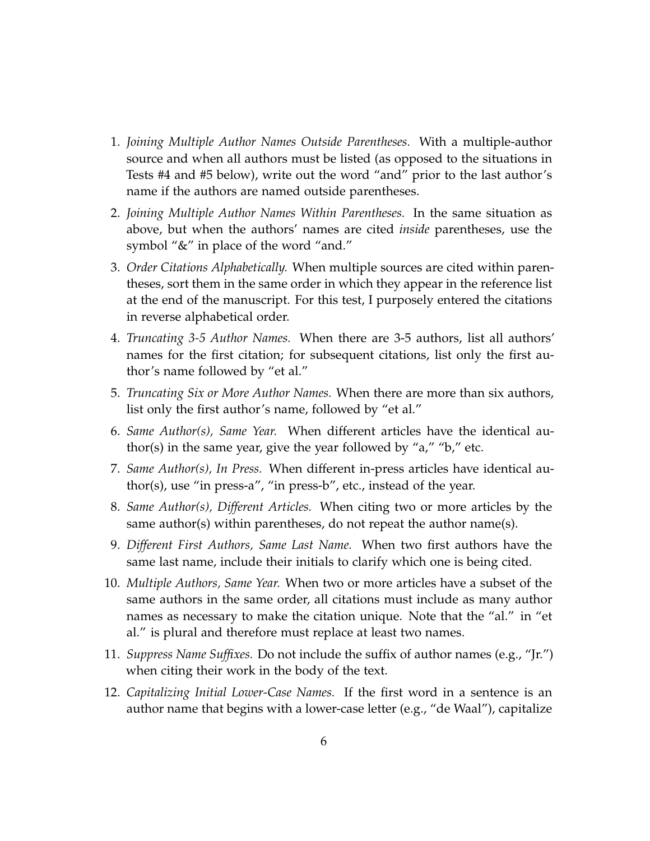- 1. *Joining Multiple Author Names Outside Parentheses.* With a multiple-author source and when all authors must be listed (as opposed to the situations in Tests #4 and #5 below), write out the word "and" prior to the last author's name if the authors are named outside parentheses.
- 2. *Joining Multiple Author Names Within Parentheses.* In the same situation as above, but when the authors' names are cited *inside* parentheses, use the symbol "&" in place of the word "and."
- 3. *Order Citations Alphabetically.* When multiple sources are cited within parentheses, sort them in the same order in which they appear in the reference list at the end of the manuscript. For this test, I purposely entered the citations in reverse alphabetical order.
- 4. *Truncating 3-5 Author Names.* When there are 3-5 authors, list all authors' names for the first citation; for subsequent citations, list only the first author's name followed by "et al."
- 5. *Truncating Six or More Author Names.* When there are more than six authors, list only the first author's name, followed by "et al."
- 6. *Same Author(s), Same Year.* When different articles have the identical author(s) in the same year, give the year followed by "a," "b," etc.
- 7. *Same Author(s), In Press.* When different in-press articles have identical author(s), use "in press-a", "in press-b", etc., instead of the year.
- 8. *Same Author(s), Different Articles.* When citing two or more articles by the same author(s) within parentheses, do not repeat the author name(s).
- 9. *Different First Authors, Same Last Name.* When two first authors have the same last name, include their initials to clarify which one is being cited.
- 10. *Multiple Authors, Same Year.* When two or more articles have a subset of the same authors in the same order, all citations must include as many author names as necessary to make the citation unique. Note that the "al." in "et al." is plural and therefore must replace at least two names.
- 11. *Suppress Name Suffixes.* Do not include the suffix of author names (e.g., "Jr.") when citing their work in the body of the text.
- 12. *Capitalizing Initial Lower-Case Names.* If the first word in a sentence is an author name that begins with a lower-case letter (e.g., "de Waal"), capitalize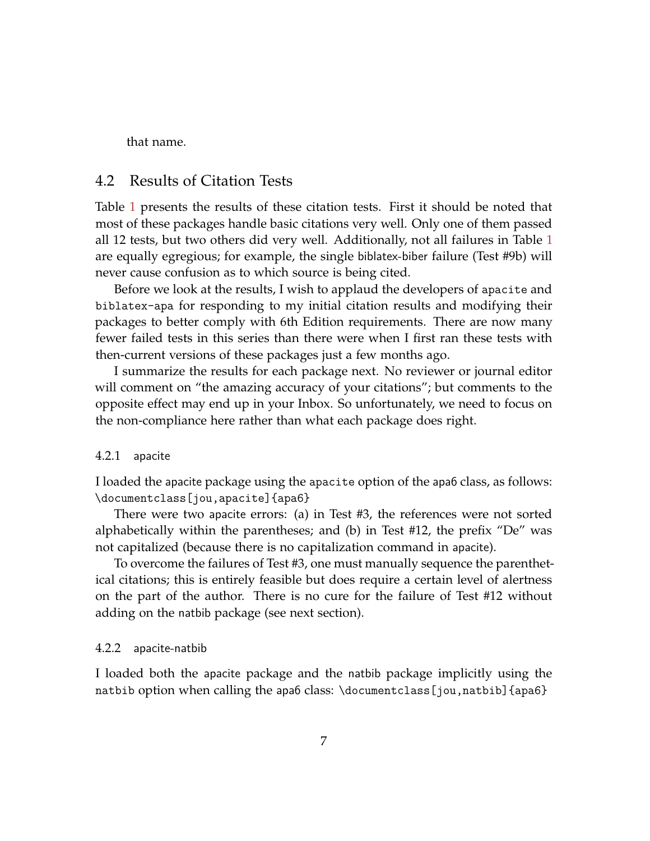that name.

## 4.2 Results of Citation Tests

Table [1](#page-7-0) presents the results of these citation tests. First it should be noted that most of these packages handle basic citations very well. Only one of them passed all 12 tests, but two others did very well. Additionally, not all failures in Table [1](#page-7-0) are equally egregious; for example, the single biblatex-biber failure (Test #9b) will never cause confusion as to which source is being cited.

Before we look at the results, I wish to applaud the developers of apacite and biblatex-apa for responding to my initial citation results and modifying their packages to better comply with 6th Edition requirements. There are now many fewer failed tests in this series than there were when I first ran these tests with then-current versions of these packages just a few months ago.

I summarize the results for each package next. No reviewer or journal editor will comment on "the amazing accuracy of your citations"; but comments to the opposite effect may end up in your Inbox. So unfortunately, we need to focus on the non-compliance here rather than what each package does right.

#### 4.2.1 apacite

I loaded the apacite package using the apacite option of the apa6 class, as follows: \documentclass[jou,apacite]{apa6}

There were two apacite errors: (a) in Test #3, the references were not sorted alphabetically within the parentheses; and (b) in Test #12, the prefix "De" was not capitalized (because there is no capitalization command in apacite).

To overcome the failures of Test #3, one must manually sequence the parenthetical citations; this is entirely feasible but does require a certain level of alertness on the part of the author. There is no cure for the failure of Test #12 without adding on the natbib package (see next section).

#### 4.2.2 apacite-natbib

I loaded both the apacite package and the natbib package implicitly using the natbib option when calling the apa6 class: \documentclass[jou,natbib]{apa6}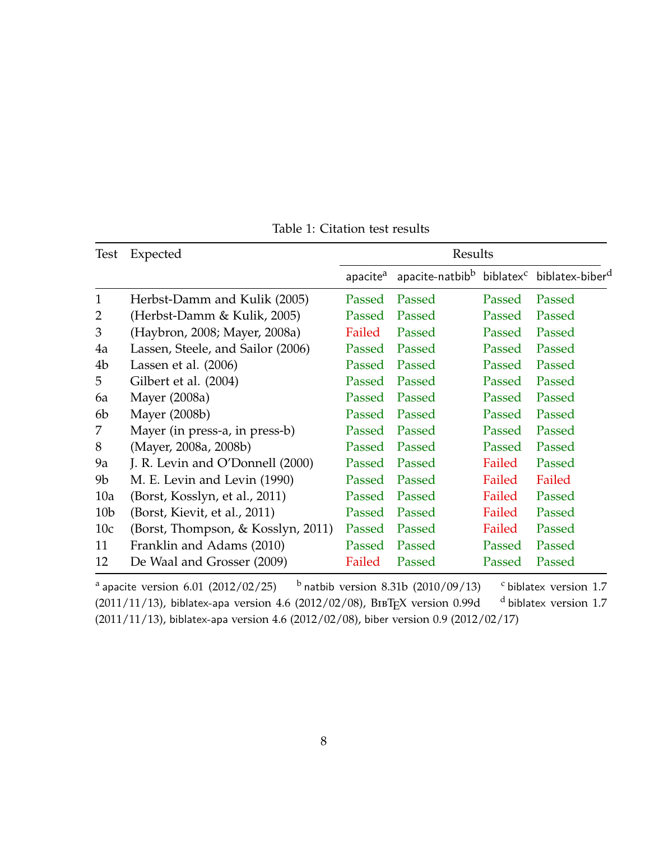| Test            | Expected                           | Results              |                                                                               |        |        |
|-----------------|------------------------------------|----------------------|-------------------------------------------------------------------------------|--------|--------|
|                 |                                    | apacite <sup>a</sup> | apacite-natbib <sup>b</sup> biblatex <sup>c</sup> biblatex-biber <sup>d</sup> |        |        |
| $\mathbf{1}$    | Herbst-Damm and Kulik (2005)       | Passed               | Passed                                                                        | Passed | Passed |
| 2               | (Herbst-Damm & Kulik, 2005)        | Passed               | Passed                                                                        | Passed | Passed |
| 3               | (Haybron, 2008; Mayer, 2008a)      | Failed               | Passed                                                                        | Passed | Passed |
| 4a              | Lassen, Steele, and Sailor (2006)  | Passed               | Passed                                                                        | Passed | Passed |
| 4b              | Lassen et al. $(2006)$             | Passed               | Passed                                                                        | Passed | Passed |
| 5               | Gilbert et al. (2004)              | Passed               | Passed                                                                        | Passed | Passed |
| 6a              | Mayer (2008a)                      | Passed               | Passed                                                                        | Passed | Passed |
| 6b              | Mayer (2008b)                      | Passed               | Passed                                                                        | Passed | Passed |
| 7               | Mayer (in press-a, in press-b)     | Passed               | Passed                                                                        | Passed | Passed |
| 8               | (Mayer, 2008a, 2008b)              | Passed               | Passed                                                                        | Passed | Passed |
| 9a              | J. R. Levin and O'Donnell (2000)   | Passed               | Passed                                                                        | Failed | Passed |
| 9b              | M. E. Levin and Levin (1990)       | Passed               | Passed                                                                        | Failed | Failed |
| 10a             | (Borst, Kosslyn, et al., 2011)     | Passed               | Passed                                                                        | Failed | Passed |
| 10 <sub>b</sub> | (Borst, Kievit, et al., 2011)      | Passed               | Passed                                                                        | Failed | Passed |
| 10c             | (Borst, Thompson, & Kosslyn, 2011) | Passed               | Passed                                                                        | Failed | Passed |
| 11              | Franklin and Adams (2010)          | Passed               | Passed                                                                        | Passed | Passed |
| 12              | De Waal and Grosser (2009)         | Failed               | Passed                                                                        | Passed | Passed |

<span id="page-7-0"></span>Table 1: Citation test results

<sup>a</sup> apacite version 6.01 (2012/02/25)  $b$  natbib version 8.31b (2010/09/13) c biblatex version 1.7 (2011/11/13), biblatex-apa version 4.6 (2012/02/08), BIBTEX version 0.99d  $^{-d}$  biblatex version 1.7 (2011/11/13), biblatex-apa version 4.6 (2012/02/08), biber version 0.9 (2012/02/17)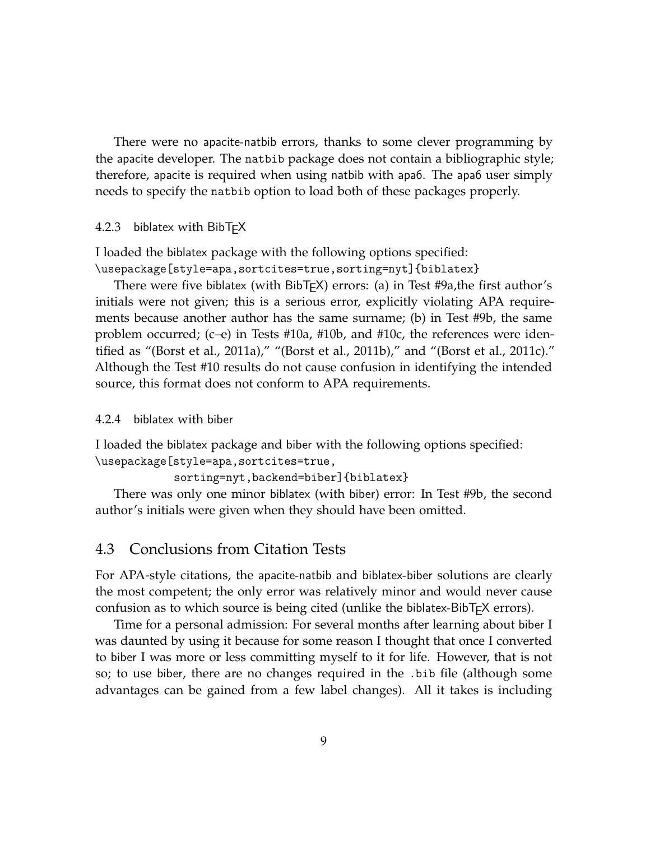There were no apacite-natbib errors, thanks to some clever programming by the apacite developer. The natbib package does not contain a bibliographic style; therefore, apacite is required when using natbib with apa6. The apa6 user simply needs to specify the natbib option to load both of these packages properly.

4.2.3 biblatex with BibT<sub>E</sub>X

I loaded the biblatex package with the following options specified:

\usepackage[style=apa,sortcites=true,sorting=nyt]{biblatex}

There were five biblatex (with BibT<sub>E</sub>X) errors: (a) in Test #9a, the first author's initials were not given; this is a serious error, explicitly violating APA requirements because another author has the same surname; (b) in Test #9b, the same problem occurred; (c–e) in Tests #10a, #10b, and #10c, the references were identified as "(Borst et al., 2011a)," "(Borst et al., 2011b)," and "(Borst et al., 2011c)." Although the Test #10 results do not cause confusion in identifying the intended source, this format does not conform to APA requirements.

4.2.4 biblatex with biber

I loaded the biblatex package and biber with the following options specified: \usepackage[style=apa,sortcites=true,

```
sorting=nyt,backend=biber]{biblatex}
```
There was only one minor biblatex (with biber) error: In Test #9b, the second author's initials were given when they should have been omitted.

# 4.3 Conclusions from Citation Tests

For APA-style citations, the apacite-natbib and biblatex-biber solutions are clearly the most competent; the only error was relatively minor and would never cause confusion as to which source is being cited (unlike the biblatex-BibT<sub>F</sub>X errors).

Time for a personal admission: For several months after learning about biber I was daunted by using it because for some reason I thought that once I converted to biber I was more or less committing myself to it for life. However, that is not so; to use biber, there are no changes required in the .bib file (although some advantages can be gained from a few label changes). All it takes is including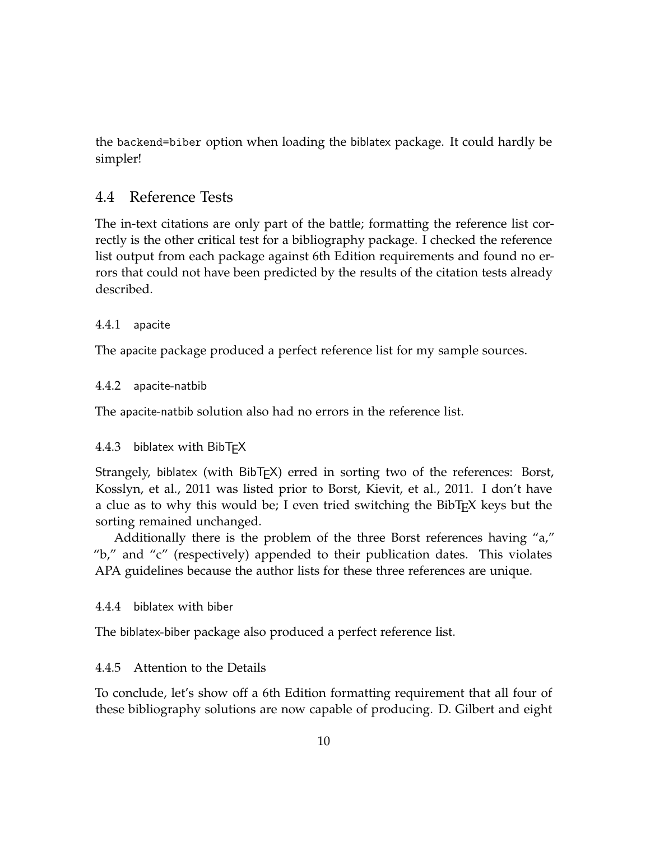the backend=biber option when loading the biblatex package. It could hardly be simpler!

# 4.4 Reference Tests

The in-text citations are only part of the battle; formatting the reference list correctly is the other critical test for a bibliography package. I checked the reference list output from each package against 6th Edition requirements and found no errors that could not have been predicted by the results of the citation tests already described.

### 4.4.1 apacite

The apacite package produced a perfect reference list for my sample sources.

### 4.4.2 apacite-natbib

The apacite-natbib solution also had no errors in the reference list.

### 4.4.3 biblatex with BibT<sub>E</sub>X

Strangely, biblatex (with BibT<sub>E</sub>X) erred in sorting two of the references: Borst, Kosslyn, et al., 2011 was listed prior to Borst, Kievit, et al., 2011. I don't have a clue as to why this would be; I even tried switching the BibT<sub>E</sub>X keys but the sorting remained unchanged.

Additionally there is the problem of the three Borst references having "a," "b," and "c" (respectively) appended to their publication dates. This violates APA guidelines because the author lists for these three references are unique.

### 4.4.4 biblatex with biber

The biblatex-biber package also produced a perfect reference list.

### 4.4.5 Attention to the Details

To conclude, let's show off a 6th Edition formatting requirement that all four of these bibliography solutions are now capable of producing. D. Gilbert and eight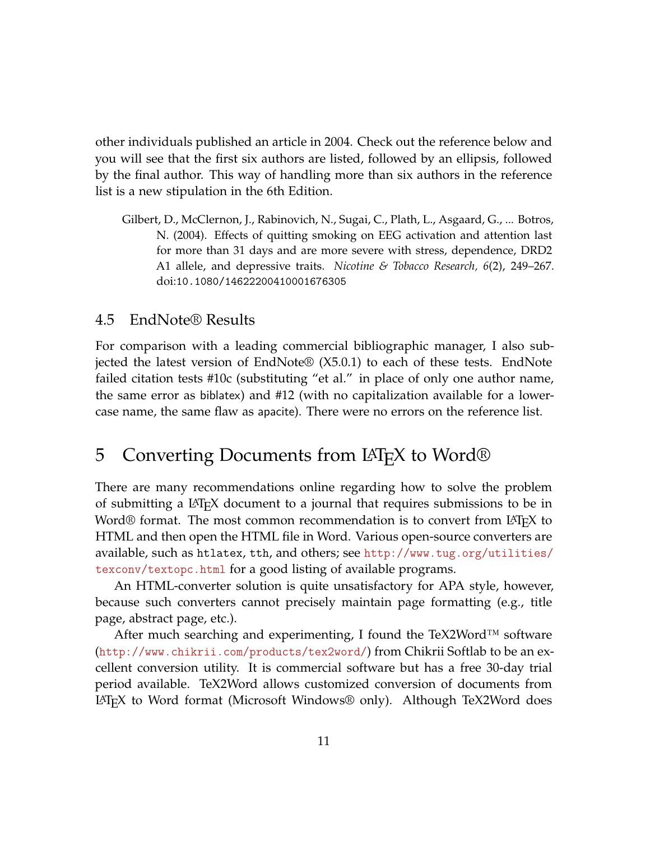other individuals published an article in 2004. Check out the reference below and you will see that the first six authors are listed, followed by an ellipsis, followed by the final author. This way of handling more than six authors in the reference list is a new stipulation in the 6th Edition.

Gilbert, D., McClernon, J., Rabinovich, N., Sugai, C., Plath, L., Asgaard, G., ... Botros, N. (2004). Effects of quitting smoking on EEG activation and attention last for more than 31 days and are more severe with stress, dependence, DRD2 A1 allele, and depressive traits. *Nicotine & Tobacco Research, 6*(2), 249–267. doi:10.1080/14622200410001676305

### 4.5 EndNote® Results

For comparison with a leading commercial bibliographic manager, I also subjected the latest version of EndNote® (X5.0.1) to each of these tests. EndNote failed citation tests #10c (substituting "et al." in place of only one author name, the same error as biblatex) and #12 (with no capitalization available for a lowercase name, the same flaw as apacite). There were no errors on the reference list.

# <span id="page-10-0"></span>5 Converting Documents from LAT<sub>E</sub>X to Word<sup>®</sup>

There are many recommendations online regarding how to solve the problem of submitting a LATEX document to a journal that requires submissions to be in Word® format. The most common recommendation is to convert from L<sup>AT</sup>EX to HTML and then open the HTML file in Word. Various open-source converters are available, such as htlatex, tth, and others; see [http://www.tug.org/utilities/](http://www.tug.org/utilities/texconv/textopc.html) [texconv/textopc.html](http://www.tug.org/utilities/texconv/textopc.html) for a good listing of available programs.

An HTML-converter solution is quite unsatisfactory for APA style, however, because such converters cannot precisely maintain page formatting (e.g., title page, abstract page, etc.).

After much searching and experimenting, I found the TeX2Word<sup>TM</sup> software (<http://www.chikrii.com/products/tex2word/>) from Chikrii Softlab to be an excellent conversion utility. It is commercial software but has a free 30-day trial period available. TeX2Word allows customized conversion of documents from LATEX to Word format (Microsoft Windows® only). Although TeX2Word does